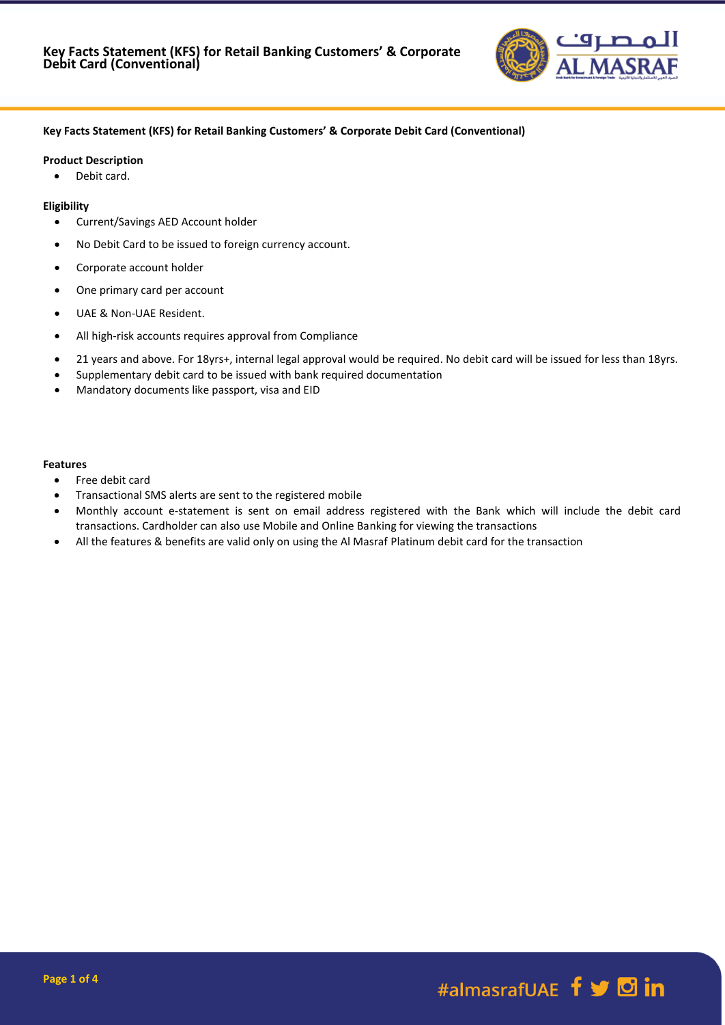

## **Key Facts Statement (KFS) for Retail Banking Customers' & Corporate Debit Card (Conventional)**

#### **Product Description**

• Debit card.

### **Eligibility**

- Current/Savings AED Account holder
- No Debit Card to be issued to foreign currency account.
- Corporate account holder
- One primary card per account
- UAE & Non-UAE Resident.
- All high-risk accounts requires approval from Compliance
- 21 years and above. For 18yrs+, internal legal approval would be required. No debit card will be issued for less than 18yrs.
- Supplementary debit card to be issued with bank required documentation
- Mandatory documents like passport, visa and EID

#### **Features**

- Free debit card
- Transactional SMS alerts are sent to the registered mobile
- Monthly account e-statement is sent on email address registered with the Bank which will include the debit card transactions. Cardholder can also use Mobile and Online Banking for viewing the transactions
- All the features & benefits are valid only on using the Al Masraf Platinum debit card for the transaction

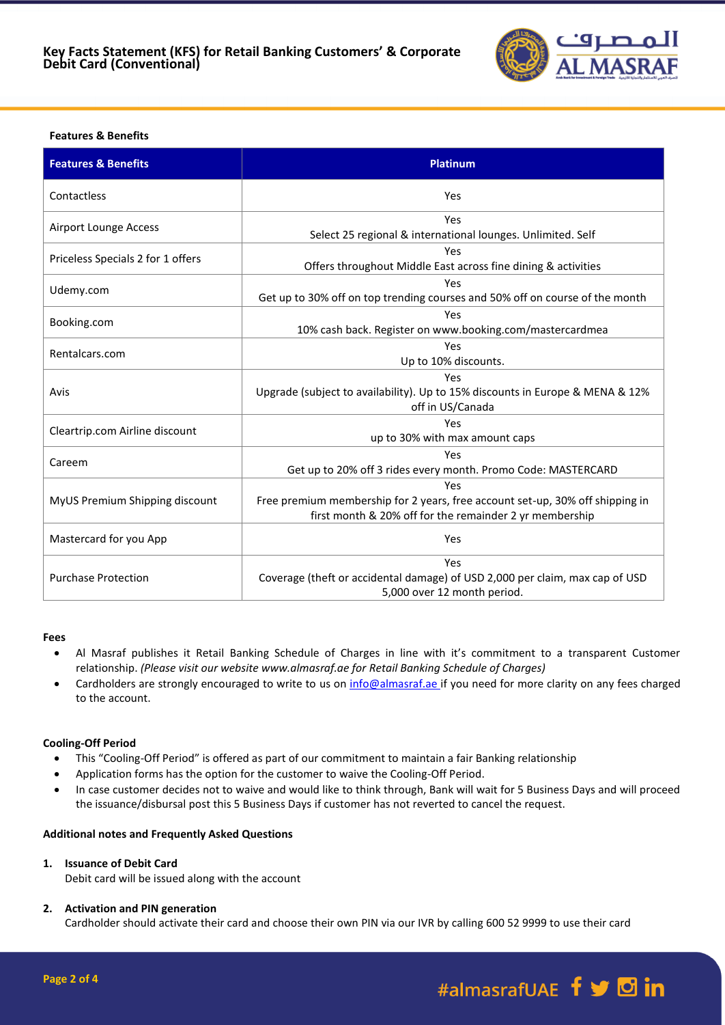

# **Features & Benefits**

| <b>Features &amp; Benefits</b>    | <b>Platinum</b>                                                                                                                                 |
|-----------------------------------|-------------------------------------------------------------------------------------------------------------------------------------------------|
| Contactless                       | Yes                                                                                                                                             |
| <b>Airport Lounge Access</b>      | Yes<br>Select 25 regional & international lounges. Unlimited. Self                                                                              |
| Priceless Specials 2 for 1 offers | Yes<br>Offers throughout Middle East across fine dining & activities                                                                            |
| Udemy.com                         | Yes<br>Get up to 30% off on top trending courses and 50% off on course of the month                                                             |
| Booking.com                       | Yes<br>10% cash back. Register on www.booking.com/mastercardmea                                                                                 |
| Rentalcars.com                    | Yes<br>Up to 10% discounts.                                                                                                                     |
| Avis                              | Yes<br>Upgrade (subject to availability). Up to 15% discounts in Europe & MENA & 12%<br>off in US/Canada                                        |
| Cleartrip.com Airline discount    | Yes<br>up to 30% with max amount caps                                                                                                           |
| Careem                            | Yes<br>Get up to 20% off 3 rides every month. Promo Code: MASTERCARD                                                                            |
| MyUS Premium Shipping discount    | Yes<br>Free premium membership for 2 years, free account set-up, 30% off shipping in<br>first month & 20% off for the remainder 2 yr membership |
| Mastercard for you App            | Yes                                                                                                                                             |
| <b>Purchase Protection</b>        | Yes<br>Coverage (theft or accidental damage) of USD 2,000 per claim, max cap of USD<br>5,000 over 12 month period.                              |

### **Fees**

- Al Masraf publishes it Retail Banking Schedule of Charges in line with it's commitment to a transparent Customer relationship. *(Please visit our website www.almasraf.ae for Retail Banking Schedule of Charges)*
- Cardholders are strongly encouraged to write to us on [info@almasraf.ae](mailto:info@almasraf.ae) if you need for more clarity on any fees charged to the account.

## **Cooling-Off Period**

- This "Cooling-Off Period" is offered as part of our commitment to maintain a fair Banking relationship
- Application forms has the option for the customer to waive the Cooling-Off Period.
- In case customer decides not to waive and would like to think through, Bank will wait for 5 Business Days and will proceed the issuance/disbursal post this 5 Business Days if customer has not reverted to cancel the request.

## **Additional notes and Frequently Asked Questions**

### **1. Issuance of Debit Card**

Debit card will be issued along with the account

### **2. Activation and PIN generation**

Cardholder should activate their card and choose their own PIN via our IVR by calling 600 52 9999 to use their card

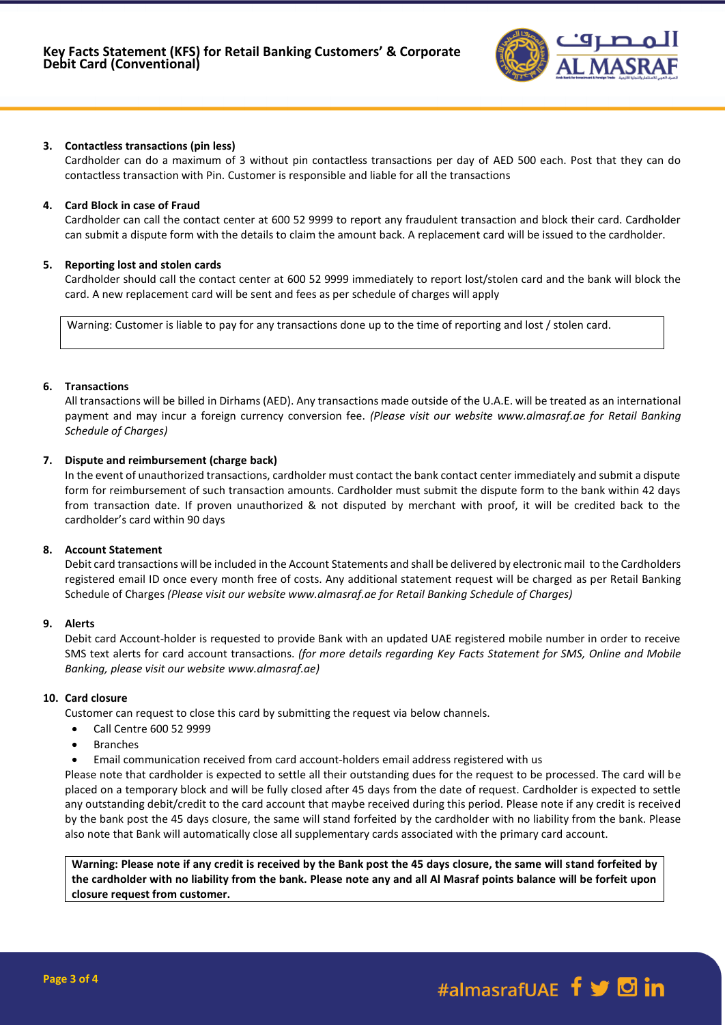

## **3. Contactless transactions (pin less)**

Cardholder can do a maximum of 3 without pin contactless transactions per day of AED 500 each. Post that they can do contactless transaction with Pin. Customer is responsible and liable for all the transactions

## **4. Card Block in case of Fraud**

Cardholder can call the contact center at 600 52 9999 to report any fraudulent transaction and block their card. Cardholder can submit a dispute form with the details to claim the amount back. A replacement card will be issued to the cardholder.

#### **5. Reporting lost and stolen cards**

Cardholder should call the contact center at 600 52 9999 immediately to report lost/stolen card and the bank will block the card. A new replacement card will be sent and fees as per schedule of charges will apply

Warning: Customer is liable to pay for any transactions done up to the time of reporting and lost / stolen card.

### **6. Transactions**

All transactions will be billed in Dirhams (AED). Any transactions made outside of the U.A.E. will be treated as an international payment and may incur a foreign currency conversion fee. *(Please visit our website www.almasraf.ae for Retail Banking Schedule of Charges)*

### **7. Dispute and reimbursement (charge back)**

In the event of unauthorized transactions, cardholder must contact the bank contact center immediately and submit a dispute form for reimbursement of such transaction amounts. Cardholder must submit the dispute form to the bank within 42 days from transaction date. If proven unauthorized & not disputed by merchant with proof, it will be credited back to the cardholder's card within 90 days

#### **8. Account Statement**

Debit card transactions will be included in the Account Statements and shall be delivered by electronic mail to the Cardholders registered email ID once every month free of costs. Any additional statement request will be charged as per Retail Banking Schedule of Charges *(Please visit our website www.almasraf.ae for Retail Banking Schedule of Charges)*

#### **9. Alerts**

Debit card Account-holder is requested to provide Bank with an updated UAE registered mobile number in order to receive SMS text alerts for card account transactions. *(for more details regarding Key Facts Statement for SMS, Online and Mobile Banking, please visit our website www.almasraf.ae)*

## **10. Card closure**

Customer can request to close this card by submitting the request via below channels.

- Call Centre 600 52 9999
- Branches
- Email communication received from card account-holders email address registered with us

Please note that cardholder is expected to settle all their outstanding dues for the request to be processed. The card will be placed on a temporary block and will be fully closed after 45 days from the date of request. Cardholder is expected to settle any outstanding debit/credit to the card account that maybe received during this period. Please note if any credit is received by the bank post the 45 days closure, the same will stand forfeited by the cardholder with no liability from the bank. Please also note that Bank will automatically close all supplementary cards associated with the primary card account.

**Warning: Please note if any credit is received by the Bank post the 45 days closure, the same will stand forfeited by the cardholder with no liability from the bank. Please note any and all Al Masraf points balance will be forfeit upon closure request from customer.**